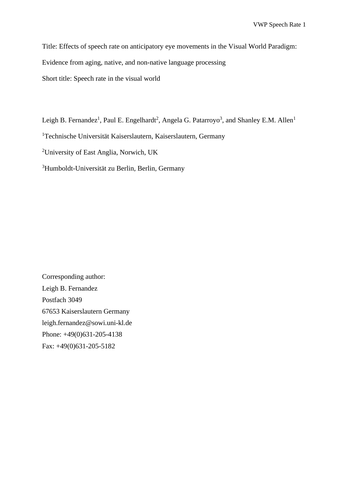Title: Effects of speech rate on anticipatory eye movements in the Visual World Paradigm: Evidence from aging, native, and non-native language processing Short title: Speech rate in the visual world

Leigh B. Fernandez<sup>1</sup>, Paul E. Engelhardt<sup>2</sup>, Angela G. Patarroyo<sup>3</sup>, and Shanley E.M. Allen<sup>1</sup>

<sup>1</sup>Technische Universität Kaiserslautern, Kaiserslautern, Germany

<sup>2</sup>University of East Anglia, Norwich, UK

<sup>3</sup>Humboldt-Universität zu Berlin, Berlin, Germany

Corresponding author: Leigh B. Fernandez Postfach 3049 67653 Kaiserslautern Germany [leigh.fernandez@sowi.uni-kl.de](mailto:leigh.fernandez@sowi.uni-kl.de) Phone: +49(0)631-205-4138 Fax: +49(0)631-205-5182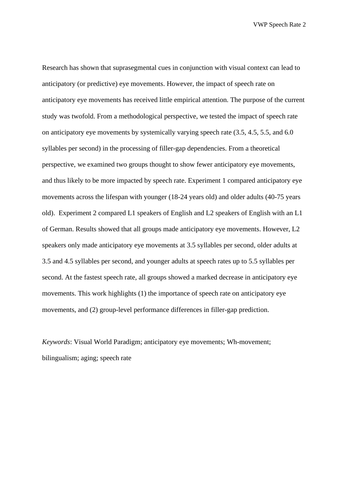Research has shown that suprasegmental cues in conjunction with visual context can lead to anticipatory (or predictive) eye movements. However, the impact of speech rate on anticipatory eye movements has received little empirical attention. The purpose of the current study was twofold. From a methodological perspective, we tested the impact of speech rate on anticipatory eye movements by systemically varying speech rate (3.5, 4.5, 5.5, and 6.0 syllables per second) in the processing of filler-gap dependencies. From a theoretical perspective, we examined two groups thought to show fewer anticipatory eye movements, and thus likely to be more impacted by speech rate. Experiment 1 compared anticipatory eye movements across the lifespan with younger (18-24 years old) and older adults (40-75 years old). Experiment 2 compared L1 speakers of English and L2 speakers of English with an L1 of German. Results showed that all groups made anticipatory eye movements. However, L2 speakers only made anticipatory eye movements at 3.5 syllables per second, older adults at 3.5 and 4.5 syllables per second, and younger adults at speech rates up to 5.5 syllables per second. At the fastest speech rate, all groups showed a marked decrease in anticipatory eye movements. This work highlights (1) the importance of speech rate on anticipatory eye movements, and (2) group-level performance differences in filler-gap prediction.

*Keywords*: Visual World Paradigm; anticipatory eye movements; Wh-movement; bilingualism; aging; speech rate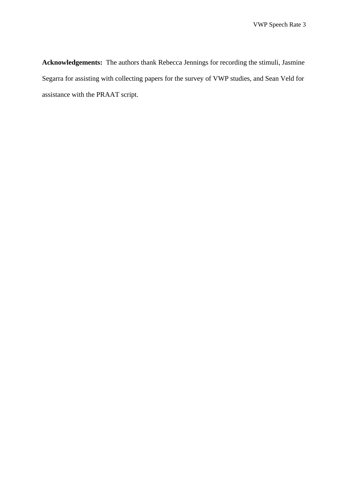**Acknowledgements:** The authors thank Rebecca Jennings for recording the stimuli, Jasmine Segarra for assisting with collecting papers for the survey of VWP studies, and Sean Veld for assistance with the PRAAT script.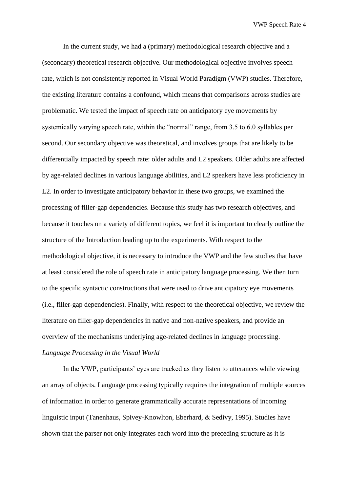In the current study, we had a (primary) methodological research objective and a (secondary) theoretical research objective. Our methodological objective involves speech rate, which is not consistently reported in Visual World Paradigm (VWP) studies. Therefore, the existing literature contains a confound, which means that comparisons across studies are problematic. We tested the impact of speech rate on anticipatory eye movements by systemically varying speech rate, within the "normal" range, from 3.5 to 6.0 syllables per second. Our secondary objective was theoretical, and involves groups that are likely to be differentially impacted by speech rate: older adults and L2 speakers. Older adults are affected by age-related declines in various language abilities, and L2 speakers have less proficiency in L2. In order to investigate anticipatory behavior in these two groups, we examined the processing of filler-gap dependencies. Because this study has two research objectives, and because it touches on a variety of different topics, we feel it is important to clearly outline the structure of the Introduction leading up to the experiments. With respect to the methodological objective, it is necessary to introduce the VWP and the few studies that have at least considered the role of speech rate in anticipatory language processing. We then turn to the specific syntactic constructions that were used to drive anticipatory eye movements (i.e., filler-gap dependencies). Finally, with respect to the theoretical objective, we review the literature on filler-gap dependencies in native and non-native speakers, and provide an overview of the mechanisms underlying age-related declines in language processing. *Language Processing in the Visual World*

In the VWP, participants' eyes are tracked as they listen to utterances while viewing an array of objects. Language processing typically requires the integration of multiple sources of information in order to generate grammatically accurate representations of incoming linguistic input (Tanenhaus, Spivey-Knowlton, Eberhard, & Sedivy, 1995). Studies have shown that the parser not only integrates each word into the preceding structure as it is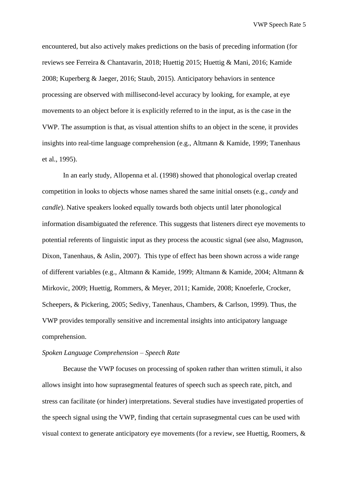encountered, but also actively makes predictions on the basis of preceding information (for reviews see Ferreira & Chantavarin, 2018; Huettig 2015; Huettig & Mani, 2016; Kamide 2008; Kuperberg & Jaeger, 2016; Staub, 2015). Anticipatory behaviors in sentence processing are observed with millisecond-level accuracy by looking, for example, at eye movements to an object before it is explicitly referred to in the input, as is the case in the VWP. The assumption is that, as visual attention shifts to an object in the scene, it provides insights into real-time language comprehension (e.g., Altmann & Kamide, 1999; Tanenhaus et al., 1995).

In an early study, Allopenna et al. (1998) showed that phonological overlap created competition in looks to objects whose names shared the same initial onsets (e.g., *candy* and *candle*). Native speakers looked equally towards both objects until later phonological information disambiguated the reference. This suggests that listeners direct eye movements to potential referents of linguistic input as they process the acoustic signal (see also, Magnuson, Dixon, Tanenhaus, & Aslin, 2007). This type of effect has been shown across a wide range of different variables (e.g., Altmann & Kamide, 1999; Altmann & Kamide, 2004; Altmann & Mirkovic, 2009; Huettig, Rommers, & Meyer, 2011; Kamide, 2008; Knoeferle, Crocker, Scheepers, & Pickering, 2005; Sedivy, Tanenhaus, Chambers, & Carlson, 1999). Thus, the VWP provides temporally sensitive and incremental insights into anticipatory language comprehension.

#### *Spoken Language Comprehension – Speech Rate*

Because the VWP focuses on processing of spoken rather than written stimuli, it also allows insight into how suprasegmental features of speech such as speech rate, pitch, and stress can facilitate (or hinder) interpretations. Several studies have investigated properties of the speech signal using the VWP, finding that certain suprasegmental cues can be used with visual context to generate anticipatory eye movements (for a review, see Huettig, Roomers, &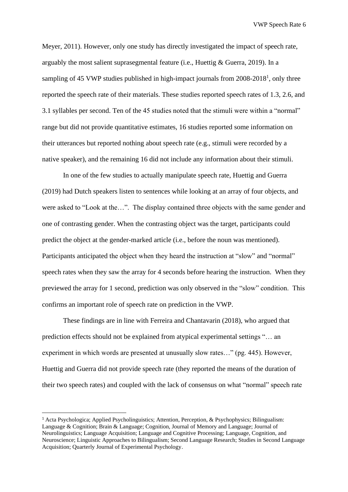Meyer, 2011). However, only one study has directly investigated the impact of speech rate, arguably the most salient suprasegmental feature (i.e., Huettig & Guerra, 2019). In a sampling of 45 VWP studies published in high-impact journals from  $2008-2018<sup>1</sup>$ , only three reported the speech rate of their materials. These studies reported speech rates of 1.3, 2.6, and 3.1 syllables per second. Ten of the 45 studies noted that the stimuli were within a "normal" range but did not provide quantitative estimates, 16 studies reported some information on their utterances but reported nothing about speech rate (e.g., stimuli were recorded by a native speaker), and the remaining 16 did not include any information about their stimuli.

In one of the few studies to actually manipulate speech rate, Huettig and Guerra (2019) had Dutch speakers listen to sentences while looking at an array of four objects, and were asked to "Look at the…". The display contained three objects with the same gender and one of contrasting gender. When the contrasting object was the target, participants could predict the object at the gender-marked article (i.e., before the noun was mentioned). Participants anticipated the object when they heard the instruction at "slow" and "normal" speech rates when they saw the array for 4 seconds before hearing the instruction. When they previewed the array for 1 second, prediction was only observed in the "slow" condition. This confirms an important role of speech rate on prediction in the VWP.

These findings are in line with Ferreira and Chantavarin (2018), who argued that prediction effects should not be explained from atypical experimental settings "… an experiment in which words are presented at unusually slow rates…" (pg. 445). However, Huettig and Guerra did not provide speech rate (they reported the means of the duration of their two speech rates) and coupled with the lack of consensus on what "normal" speech rate

<sup>1</sup> Acta Psychologica; Applied Psycholinguistics; Attention, Perception, & Psychophysics; Bilingualism: Language & Cognition; Brain & Language; Cognition, Journal of Memory and Language; Journal of Neurolinguistics; Language Acquisition; Language and Cognitive Processing; Language, Cognition, and Neuroscience; Linguistic Approaches to Bilingualism; Second Language Research; Studies in Second Language Acquisition; Quarterly Journal of Experimental Psychology.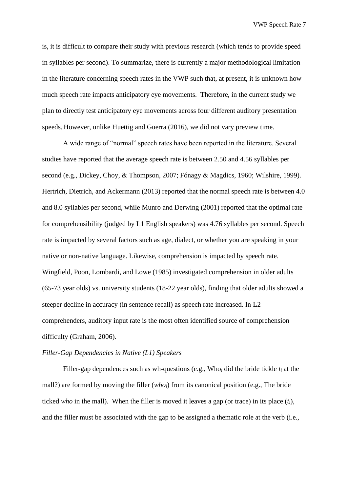is, it is difficult to compare their study with previous research (which tends to provide speed in syllables per second). To summarize, there is currently a major methodological limitation in the literature concerning speech rates in the VWP such that, at present, it is unknown how much speech rate impacts anticipatory eye movements. Therefore, in the current study we plan to directly test anticipatory eye movements across four different auditory presentation speeds. However, unlike Huettig and Guerra (2016), we did not vary preview time.

A wide range of "normal" speech rates have been reported in the literature. Several studies have reported that the average speech rate is between 2.50 and 4.56 syllables per second (e.g., Dickey, Choy, & Thompson, 2007; Fónagy & Magdics, 1960; Wilshire, 1999). Hertrich, Dietrich, and Ackermann (2013) reported that the normal speech rate is between 4.0 and 8.0 syllables per second, while Munro and Derwing (2001) reported that the optimal rate for comprehensibility (judged by L1 English speakers) was 4.76 syllables per second. Speech rate is impacted by several factors such as age, dialect, or whether you are speaking in your native or non-native language. Likewise, comprehension is impacted by speech rate. Wingfield, Poon, Lombardi, and Lowe (1985) investigated comprehension in older adults (65-73 year olds) vs. university students (18-22 year olds), finding that older adults showed a steeper decline in accuracy (in sentence recall) as speech rate increased. In L2 comprehenders, auditory input rate is the most often identified source of comprehension difficulty (Graham, 2006).

#### *Filler-Gap Dependencies in Native (L1) Speakers*

Filler-gap dependences such as wh-questions (e.g., Who*<sup>i</sup>* did the bride tickle *t<sup>i</sup>* at the mall?) are formed by moving the filler (*whoi*) from its canonical position (e.g., The bride ticked *who* in the mall). When the filler is moved it leaves a gap (or trace) in its place (*ti*), and the filler must be associated with the gap to be assigned a thematic role at the verb (i.e.,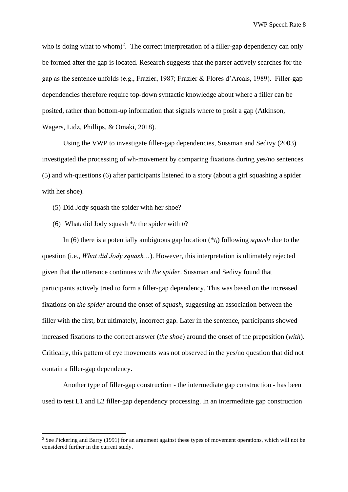who is doing what to whom)<sup>2</sup>. The correct interpretation of a filler-gap dependency can only be formed after the gap is located. Research suggests that the parser actively searches for the gap as the sentence unfolds (e.g., Frazier, 1987; Frazier & Flores d'Arcais, 1989). Filler-gap dependencies therefore require top-down syntactic knowledge about where a filler can be posited, rather than bottom-up information that signals where to posit a gap (Atkinson, Wagers, Lidz, Phillips, & Omaki, 2018).

Using the VWP to investigate filler-gap dependencies, Sussman and Sedivy (2003) investigated the processing of wh-movement by comparing fixations during yes/no sentences (5) and wh-questions (6) after participants listened to a story (about a girl squashing a spider with her shoe).

- (5) Did Jody squash the spider with her shoe?
- (6) What<sub>*i*</sub> did Jody squash  $*_t$ *i* the spider with  $t_i$ ?

In (6) there is a potentially ambiguous gap location (\**ti*) following *squash* due to the question (i.e., *What did Jody squash…*). However, this interpretation is ultimately rejected given that the utterance continues with *the spider*. Sussman and Sedivy found that participants actively tried to form a filler-gap dependency. This was based on the increased fixations on *the spider* around the onset of *squash,* suggesting an association between the filler with the first, but ultimately, incorrect gap. Later in the sentence, participants showed increased fixations to the correct answer (*the shoe*) around the onset of the preposition (*with*). Critically, this pattern of eye movements was not observed in the yes/no question that did not contain a filler-gap dependency.

Another type of filler-gap construction - the intermediate gap construction - has been used to test L1 and L2 filler-gap dependency processing. In an intermediate gap construction

<sup>&</sup>lt;sup>2</sup> See Pickering and Barry (1991) for an argument against these types of movement operations, which will not be considered further in the current study.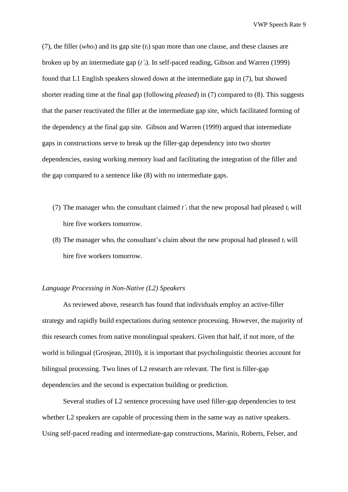(7), the filler (*whoi*) and its gap site (*ti*) span more than one clause, and these clauses are broken up by an intermediate gap (*t'i*). In self-paced reading, Gibson and Warren (1999) found that L1 English speakers slowed down at the intermediate gap in (7), but showed shorter reading time at the final gap (following *pleased*) in (7) compared to (8). This suggests that the parser reactivated the filler at the intermediate gap site, which facilitated forming of the dependency at the final gap site. Gibson and Warren (1999) argued that intermediate gaps in constructions serve to break up the filler-gap dependency into two shorter dependencies, easing working memory load and facilitating the integration of the filler and the gap compared to a sentence like (8) with no intermediate gaps.

- (7) The manager who<sub>i</sub> the consultant claimed  $t<sub>i</sub>$  that the new proposal had pleased  $t<sub>i</sub>$  will hire five workers tomorrow.
- (8) The manager who<sub>i</sub> the consultant's claim about the new proposal had pleased  $t_i$  will hire five workers tomorrow.

### *Language Processing in Non-Native (L2) Speakers*

As reviewed above, research has found that individuals employ an active-filler strategy and rapidly build expectations during sentence processing. However, the majority of this research comes from native monolingual speakers. Given that half, if not more, of the world is bilingual (Grosjean, 2010), it is important that psycholinguistic theories account for bilingual processing. Two lines of L2 research are relevant. The first is filler-gap dependencies and the second is expectation building or prediction.

Several studies of L2 sentence processing have used filler-gap dependencies to test whether L2 speakers are capable of processing them in the same way as native speakers. Using self-paced reading and intermediate-gap constructions, Marinis, Roberts, Felser, and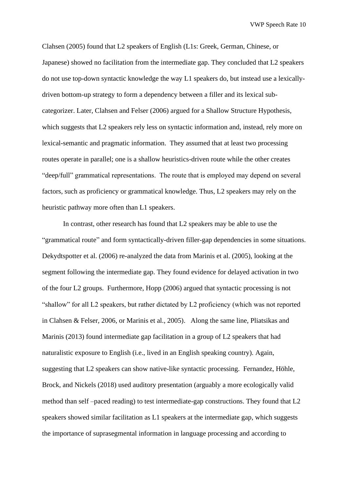Clahsen (2005) found that L2 speakers of English (L1s: Greek, German, Chinese, or Japanese) showed no facilitation from the intermediate gap. They concluded that L2 speakers do not use top-down syntactic knowledge the way L1 speakers do, but instead use a lexicallydriven bottom-up strategy to form a dependency between a filler and its lexical subcategorizer. Later, Clahsen and Felser (2006) argued for a Shallow Structure Hypothesis, which suggests that L2 speakers rely less on syntactic information and, instead, rely more on lexical-semantic and pragmatic information. They assumed that at least two processing routes operate in parallel; one is a shallow heuristics-driven route while the other creates "deep/full" grammatical representations. The route that is employed may depend on several factors, such as proficiency or grammatical knowledge. Thus, L2 speakers may rely on the heuristic pathway more often than L1 speakers.

In contrast, other research has found that L2 speakers may be able to use the "grammatical route" and form syntactically-driven filler-gap dependencies in some situations. Dekydtspotter et al. (2006) re-analyzed the data from Marinis et al. (2005), looking at the segment following the intermediate gap. They found evidence for delayed activation in two of the four L2 groups. Furthermore, Hopp (2006) argued that syntactic processing is not "shallow" for all L2 speakers, but rather dictated by L2 proficiency (which was not reported in Clahsen & Felser, 2006, or Marinis et al., 2005). Along the same line, Pliatsikas and Marinis (2013) found intermediate gap facilitation in a group of L2 speakers that had naturalistic exposure to English (i.e., lived in an English speaking country). Again, suggesting that L2 speakers can show native-like syntactic processing. Fernandez, Höhle, Brock, and Nickels (2018) used auditory presentation (arguably a more ecologically valid method than self –paced reading) to test intermediate-gap constructions. They found that L2 speakers showed similar facilitation as L1 speakers at the intermediate gap, which suggests the importance of suprasegmental information in language processing and according to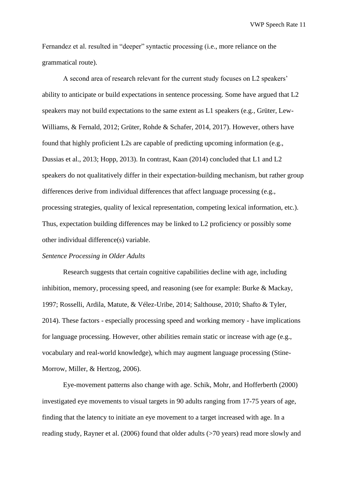Fernandez et al. resulted in "deeper" syntactic processing (i.e., more reliance on the grammatical route).

A second area of research relevant for the current study focuses on L2 speakers' ability to anticipate or build expectations in sentence processing. Some have argued that L2 speakers may not build expectations to the same extent as L1 speakers (e.g., Grüter, Lew-Williams, & Fernald, 2012; Grüter, Rohde & Schafer, 2014, 2017). However, others have found that highly proficient L2s are capable of predicting upcoming information (e.g., Dussias et al., 2013; Hopp, 2013). In contrast, Kaan (2014) concluded that L1 and L2 speakers do not qualitatively differ in their expectation-building mechanism, but rather group differences derive from individual differences that affect language processing (e.g., processing strategies, quality of lexical representation, competing lexical information, etc.). Thus, expectation building differences may be linked to L2 proficiency or possibly some other individual difference(s) variable.

## *Sentence Processing in Older Adults*

Research suggests that certain cognitive capabilities decline with age, including inhibition, memory, processing speed, and reasoning (see for example: Burke & Mackay, 1997; Rosselli, Ardila, Matute, & Vélez-Uribe, 2014; Salthouse, 2010; Shafto & Tyler, 2014). These factors - especially processing speed and working memory - have implications for language processing. However, other abilities remain static or increase with age (e.g., vocabulary and real-world knowledge), which may augment language processing (Stine-Morrow, Miller, & Hertzog, 2006).

Eye-movement patterns also change with age. Schik, Mohr, and Hofferberth (2000) investigated eye movements to visual targets in 90 adults ranging from 17-75 years of age, finding that the latency to initiate an eye movement to a target increased with age. In a reading study, Rayner et al. (2006) found that older adults (>70 years) read more slowly and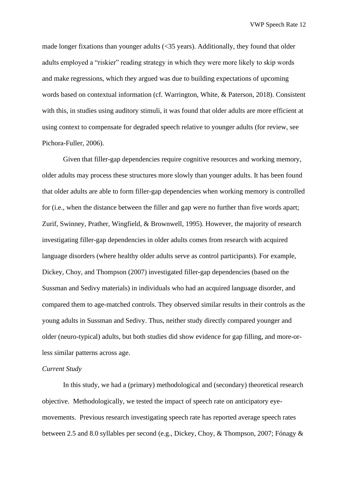made longer fixations than younger adults (<35 years). Additionally, they found that older adults employed a "riskier" reading strategy in which they were more likely to skip words and make regressions, which they argued was due to building expectations of upcoming words based on contextual information (cf. Warrington, White, & Paterson, 2018). Consistent with this, in studies using auditory stimuli, it was found that older adults are more efficient at using context to compensate for degraded speech relative to younger adults (for review, see Pichora-Fuller, 2006).

Given that filler-gap dependencies require cognitive resources and working memory, older adults may process these structures more slowly than younger adults. It has been found that older adults are able to form filler-gap dependencies when working memory is controlled for (i.e., when the distance between the filler and gap were no further than five words apart; Zurif, Swinney, Prather, Wingfield, & Brownwell, 1995). However, the majority of research investigating filler-gap dependencies in older adults comes from research with acquired language disorders (where healthy older adults serve as control participants). For example, Dickey, Choy, and Thompson (2007) investigated filler-gap dependencies (based on the Sussman and Sedivy materials) in individuals who had an acquired language disorder, and compared them to age-matched controls. They observed similar results in their controls as the young adults in Sussman and Sedivy. Thus, neither study directly compared younger and older (neuro-typical) adults, but both studies did show evidence for gap filling, and more-orless similar patterns across age.

#### *Current Study*

In this study, we had a (primary) methodological and (secondary) theoretical research objective. Methodologically, we tested the impact of speech rate on anticipatory eyemovements. Previous research investigating speech rate has reported average speech rates between 2.5 and 8.0 syllables per second (e.g., Dickey, Choy, & Thompson, 2007; Fónagy &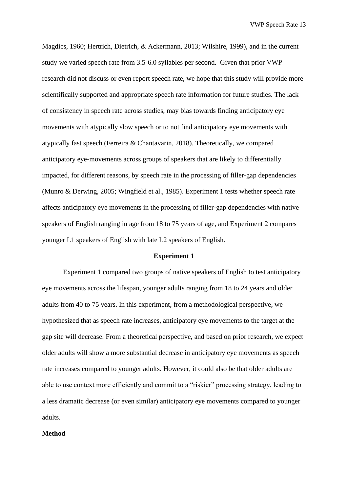Magdics, 1960; Hertrich, Dietrich, & Ackermann, 2013; Wilshire, 1999), and in the current study we varied speech rate from 3.5-6.0 syllables per second. Given that prior VWP research did not discuss or even report speech rate, we hope that this study will provide more scientifically supported and appropriate speech rate information for future studies. The lack of consistency in speech rate across studies, may bias towards finding anticipatory eye movements with atypically slow speech or to not find anticipatory eye movements with atypically fast speech (Ferreira & Chantavarin, 2018). Theoretically, we compared anticipatory eye-movements across groups of speakers that are likely to differentially impacted, for different reasons, by speech rate in the processing of filler-gap dependencies (Munro & Derwing, 2005; Wingfield et al., 1985). Experiment 1 tests whether speech rate affects anticipatory eye movements in the processing of filler-gap dependencies with native speakers of English ranging in age from 18 to 75 years of age, and Experiment 2 compares younger L1 speakers of English with late L2 speakers of English.

#### **Experiment 1**

Experiment 1 compared two groups of native speakers of English to test anticipatory eye movements across the lifespan, younger adults ranging from 18 to 24 years and older adults from 40 to 75 years. In this experiment, from a methodological perspective, we hypothesized that as speech rate increases, anticipatory eye movements to the target at the gap site will decrease. From a theoretical perspective, and based on prior research, we expect older adults will show a more substantial decrease in anticipatory eye movements as speech rate increases compared to younger adults. However, it could also be that older adults are able to use context more efficiently and commit to a "riskier" processing strategy, leading to a less dramatic decrease (or even similar) anticipatory eye movements compared to younger adults.

#### **Method**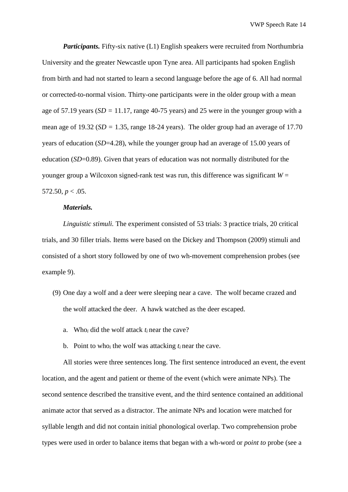*Participants.* Fifty-six native (L1) English speakers were recruited from Northumbria University and the greater Newcastle upon Tyne area. All participants had spoken English from birth and had not started to learn a second language before the age of 6. All had normal or corrected-to-normal vision. Thirty-one participants were in the older group with a mean age of 57.19 years (*SD =* 11.17, range 40-75 years) and 25 were in the younger group with a mean age of 19.32 (*SD =* 1.35, range 18-24 years). The older group had an average of 17.70 years of education (*SD*=4.28), while the younger group had an average of 15.00 years of education (*SD*=0.89). Given that years of education was not normally distributed for the younger group a Wilcoxon signed-rank test was run, this difference was significant  $W =$ 572.50,  $p < .05$ .

## *Materials.*

*Linguistic stimuli.* The experiment consisted of 53 trials: 3 practice trials, 20 critical trials, and 30 filler trials. Items were based on the Dickey and Thompson (2009) stimuli and consisted of a short story followed by one of two wh-movement comprehension probes (see example 9).

- (9) One day a wolf and a deer were sleeping near a cave. The wolf became crazed and the wolf attacked the deer. A hawk watched as the deer escaped.
	- a. Who*<sup>i</sup>* did the wolf attack *t<sup>i</sup>* near the cave?
	- b. Point to who<sub>i</sub> the wolf was attacking  $t_i$  near the cave.

All stories were three sentences long. The first sentence introduced an event, the event location, and the agent and patient or theme of the event (which were animate NPs). The second sentence described the transitive event, and the third sentence contained an additional animate actor that served as a distractor. The animate NPs and location were matched for syllable length and did not contain initial phonological overlap. Two comprehension probe types were used in order to balance items that began with a wh-word or *point to* probe (see a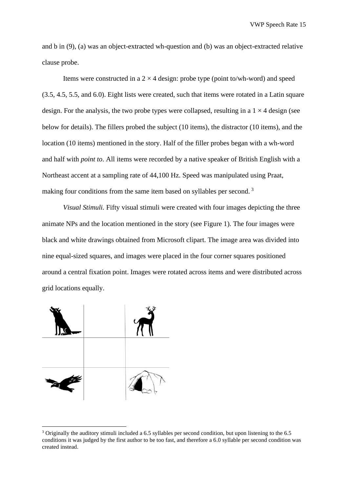and b in (9), (a) was an object-extracted wh-question and (b) was an object-extracted relative clause probe.

Items were constructed in a  $2 \times 4$  design: probe type (point to/wh-word) and speed (3.5, 4.5, 5.5, and 6.0). Eight lists were created, such that items were rotated in a Latin square design. For the analysis, the two probe types were collapsed, resulting in a  $1 \times 4$  design (see below for details). The fillers probed the subject (10 items), the distractor (10 items), and the location (10 items) mentioned in the story. Half of the filler probes began with a wh-word and half with *point to*. All items were recorded by a native speaker of British English with a Northeast accent at a sampling rate of 44,100 Hz. Speed was manipulated using Praat, making four conditions from the same item based on syllables per second.<sup>3</sup>

*Visual Stimuli.* Fifty visual stimuli were created with four images depicting the three animate NPs and the location mentioned in the story (see Figure 1). The four images were black and white drawings obtained from Microsoft clipart. The image area was divided into nine equal-sized squares, and images were placed in the four corner squares positioned around a central fixation point. Images were rotated across items and were distributed across grid locations equally.



<sup>3</sup> Originally the auditory stimuli included a 6.5 syllables per second condition, but upon listening to the 6.5 conditions it was judged by the first author to be too fast, and therefore a 6.0 syllable per second condition was created instead.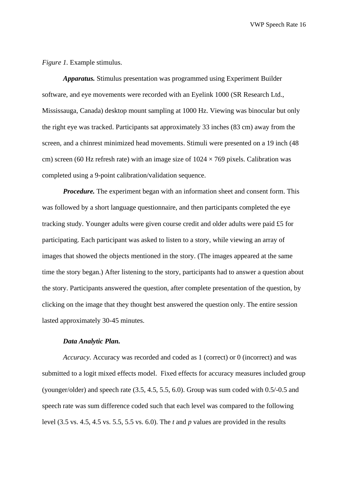*Figure 1.* Example stimulus.

*Apparatus.* Stimulus presentation was programmed using Experiment Builder software, and eye movements were recorded with an Eyelink 1000 (SR Research Ltd., Mississauga, Canada) desktop mount sampling at 1000 Hz. Viewing was binocular but only the right eye was tracked. Participants sat approximately 33 inches (83 cm) away from the screen, and a chinrest minimized head movements. Stimuli were presented on a 19 inch (48 cm) screen (60 Hz refresh rate) with an image size of  $1024 \times 769$  pixels. Calibration was completed using a 9-point calibration/validation sequence.

*Procedure.* The experiment began with an information sheet and consent form. This was followed by a short language questionnaire, and then participants completed the eye tracking study. Younger adults were given course credit and older adults were paid £5 for participating. Each participant was asked to listen to a story, while viewing an array of images that showed the objects mentioned in the story. (The images appeared at the same time the story began.) After listening to the story, participants had to answer a question about the story. Participants answered the question, after complete presentation of the question, by clicking on the image that they thought best answered the question only. The entire session lasted approximately 30-45 minutes.

#### *Data Analytic Plan.*

*Accuracy.* Accuracy was recorded and coded as 1 (correct) or 0 (incorrect) and was submitted to a logit mixed effects model. Fixed effects for accuracy measures included group (younger/older) and speech rate (3.5, 4.5, 5.5, 6.0). Group was sum coded with 0.5/-0.5 and speech rate was sum difference coded such that each level was compared to the following level (3.5 vs. 4.5, 4.5 vs. 5.5, 5.5 vs. 6.0). The *t* and *p* values are provided in the results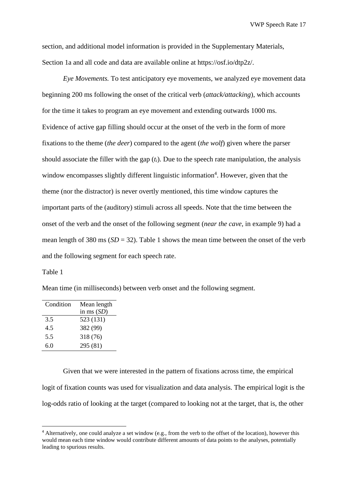section, and additional model information is provided in the Supplementary Materials, Section 1a and all code and data are available online at https://osf.io/dtp2z/.

*Eye Movements.* To test anticipatory eye movements, we analyzed eye movement data beginning 200 ms following the onset of the critical verb (*attack/attacking*), which accounts for the time it takes to program an eye movement and extending outwards 1000 ms. Evidence of active gap filling should occur at the onset of the verb in the form of more fixations to the theme (*the deer*) compared to the agent (*the wolf*) given where the parser should associate the filler with the gap  $(t<sub>i</sub>)$ . Due to the speech rate manipulation, the analysis window encompasses slightly different linguistic information<sup>4</sup>. However, given that the theme (nor the distractor) is never overtly mentioned, this time window captures the important parts of the (auditory) stimuli across all speeds. Note that the time between the onset of the verb and the onset of the following segment (*near the cave,* in example 9) had a mean length of 380 ms  $(SD = 32)$ . Table 1 shows the mean time between the onset of the verb and the following segment for each speech rate.

Table 1

Mean time (in milliseconds) between verb onset and the following segment.

| Condition | Mean length  |
|-----------|--------------|
|           | in ms $(SD)$ |
| 3.5       | 523 (131)    |
| 4.5       | 382 (99)     |
| 5.5       | 318 (76)     |
| 6.0       | 295 (81)     |

Given that we were interested in the pattern of fixations across time, the empirical logit of fixation counts was used for visualization and data analysis. The empirical logit is the log-odds ratio of looking at the target (compared to looking not at the target, that is, the other

<sup>&</sup>lt;sup>4</sup> Alternatively, one could analyze a set window (e.g., from the verb to the offset of the location), however this would mean each time window would contribute different amounts of data points to the analyses, potentially leading to spurious results.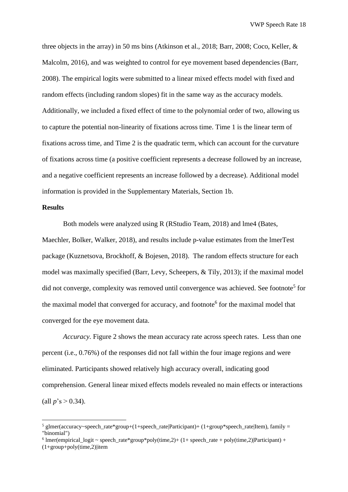three objects in the array) in 50 ms bins (Atkinson et al., 2018; Barr, 2008; Coco, Keller, & Malcolm, 2016), and was weighted to control for eye movement based dependencies (Barr, 2008). The empirical logits were submitted to a linear mixed effects model with fixed and random effects (including random slopes) fit in the same way as the accuracy models. Additionally, we included a fixed effect of time to the polynomial order of two, allowing us to capture the potential non-linearity of fixations across time. Time 1 is the linear term of fixations across time, and Time 2 is the quadratic term, which can account for the curvature of fixations across time (a positive coefficient represents a decrease followed by an increase, and a negative coefficient represents an increase followed by a decrease). Additional model information is provided in the Supplementary Materials, Section 1b.

## **Results**

Both models were analyzed using R (RStudio Team, 2018) and lme4 (Bates, Maechler, Bolker, Walker, 2018), and results include p-value estimates from the lmerTest package (Kuznetsova, Brockhoff, & Bojesen, 2018). The random effects structure for each model was maximally specified (Barr, Levy, Scheepers, & Tily, 2013); if the maximal model did not converge, complexity was removed until convergence was achieved. See footnote<sup>5</sup> for the maximal model that converged for accuracy, and footnote<sup>6</sup> for the maximal model that converged for the eye movement data.

*Accuracy.* Figure 2 shows the mean accuracy rate across speech rates. Less than one percent (i.e., 0.76%) of the responses did not fall within the four image regions and were eliminated. Participants showed relatively high accuracy overall, indicating good comprehension. General linear mixed effects models revealed no main effects or interactions (all  $p$ 's > 0.34).

<sup>&</sup>lt;sup>5</sup> glmer(accuracy~speech\_rate\*group+(1+speech\_rate|Participant)+ (1+group\*speech\_rate|Item), family = "binomial")

<sup>&</sup>lt;sup>6</sup> Imer(empirical\_logit ~ speech\_rate\*group\*poly(time,2)+ (1+ speech\_rate + poly(time,2)|Participant) +  $(1+group+poly(time,2))$ item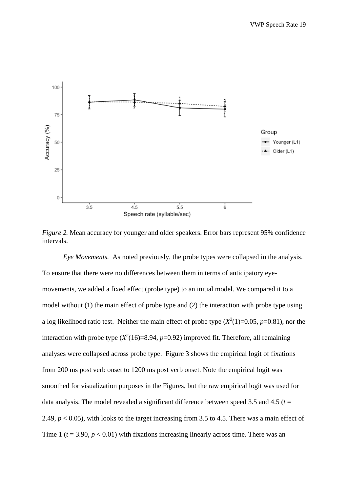

*Figure 2.* Mean accuracy for younger and older speakers. Error bars represent 95% confidence intervals.

*Eye Movements.* As noted previously, the probe types were collapsed in the analysis. To ensure that there were no differences between them in terms of anticipatory eyemovements, we added a fixed effect (probe type) to an initial model. We compared it to a model without (1) the main effect of probe type and (2) the interaction with probe type using a log likelihood ratio test. Neither the main effect of probe type  $(X^2(1)=0.05, p=0.81)$ , nor the interaction with probe type  $(X^2(16)=8.94, p=0.92)$  improved fit. Therefore, all remaining analyses were collapsed across probe type. Figure 3 shows the empirical logit of fixations from 200 ms post verb onset to 1200 ms post verb onset. Note the empirical logit was smoothed for visualization purposes in the Figures, but the raw empirical logit was used for data analysis. The model revealed a significant difference between speed 3.5 and 4.5 ( $t =$ 2.49, *p* < 0.05), with looks to the target increasing from 3.5 to 4.5. There was a main effect of Time 1 ( $t = 3.90$ ,  $p < 0.01$ ) with fixations increasing linearly across time. There was an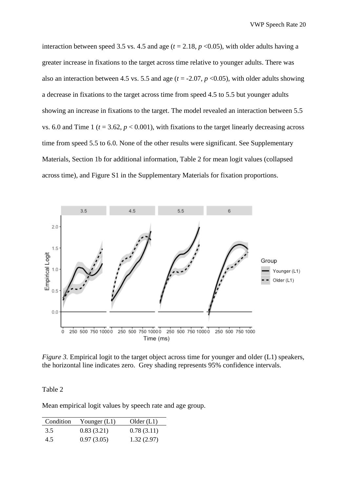interaction between speed 3.5 vs. 4.5 and age ( $t = 2.18$ ,  $p < 0.05$ ), with older adults having a greater increase in fixations to the target across time relative to younger adults. There was also an interaction between 4.5 vs. 5.5 and age  $(t = -2.07, p < 0.05)$ , with older adults showing a decrease in fixations to the target across time from speed 4.5 to 5.5 but younger adults showing an increase in fixations to the target. The model revealed an interaction between 5.5 vs. 6.0 and Time 1 ( $t = 3.62$ ,  $p < 0.001$ ), with fixations to the target linearly decreasing across time from speed 5.5 to 6.0. None of the other results were significant. See Supplementary Materials, Section 1b for additional information, Table 2 for mean logit values (collapsed across time), and Figure S1 in the Supplementary Materials for fixation proportions.



*Figure 3.* Empirical logit to the target object across time for younger and older (L1) speakers, the horizontal line indicates zero. Grey shading represents 95% confidence intervals.

Table 2

Mean empirical logit values by speech rate and age group.

| Condition | Younger $(L1)$ | Older(L1)  |
|-----------|----------------|------------|
| 3.5       | 0.83(3.21)     | 0.78(3.11) |
| 4.5       | 0.97(3.05)     | 1.32(2.97) |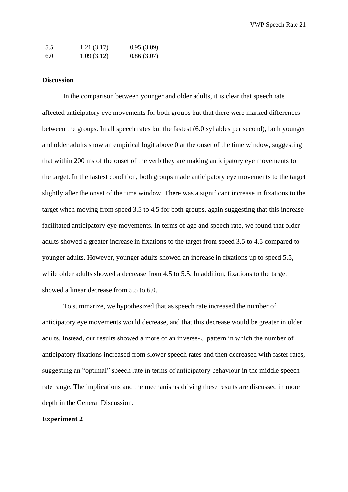| 5.5 | 1.21(3.17) | 0.95(3.09) |
|-----|------------|------------|
| 6.0 | 1.09(3.12) | 0.86(3.07) |

## **Discussion**

In the comparison between younger and older adults, it is clear that speech rate affected anticipatory eye movements for both groups but that there were marked differences between the groups. In all speech rates but the fastest (6.0 syllables per second), both younger and older adults show an empirical logit above 0 at the onset of the time window, suggesting that within 200 ms of the onset of the verb they are making anticipatory eye movements to the target. In the fastest condition, both groups made anticipatory eye movements to the target slightly after the onset of the time window. There was a significant increase in fixations to the target when moving from speed 3.5 to 4.5 for both groups, again suggesting that this increase facilitated anticipatory eye movements. In terms of age and speech rate, we found that older adults showed a greater increase in fixations to the target from speed 3.5 to 4.5 compared to younger adults. However, younger adults showed an increase in fixations up to speed 5.5, while older adults showed a decrease from 4.5 to 5.5. In addition, fixations to the target showed a linear decrease from 5.5 to 6.0.

To summarize, we hypothesized that as speech rate increased the number of anticipatory eye movements would decrease, and that this decrease would be greater in older adults. Instead, our results showed a more of an inverse-U pattern in which the number of anticipatory fixations increased from slower speech rates and then decreased with faster rates, suggesting an "optimal" speech rate in terms of anticipatory behaviour in the middle speech rate range. The implications and the mechanisms driving these results are discussed in more depth in the General Discussion.

## **Experiment 2**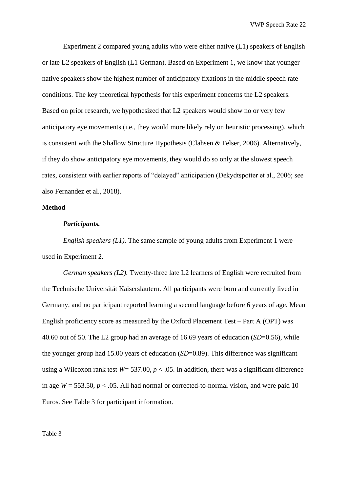Experiment 2 compared young adults who were either native (L1) speakers of English or late L2 speakers of English (L1 German). Based on Experiment 1, we know that younger native speakers show the highest number of anticipatory fixations in the middle speech rate conditions. The key theoretical hypothesis for this experiment concerns the L2 speakers. Based on prior research, we hypothesized that L2 speakers would show no or very few anticipatory eye movements (i.e., they would more likely rely on heuristic processing), which is consistent with the Shallow Structure Hypothesis (Clahsen & Felser, 2006). Alternatively, if they do show anticipatory eye movements, they would do so only at the slowest speech rates, consistent with earlier reports of "delayed" anticipation (Dekydtspotter et al., 2006; see also Fernandez et al., 2018).

## **Method**

## *Participants.*

*English speakers (L1).* The same sample of young adults from Experiment 1 were used in Experiment 2.

*German speakers (L2).* Twenty-three late L2 learners of English were recruited from the Technische Universität Kaiserslautern. All participants were born and currently lived in Germany, and no participant reported learning a second language before 6 years of age. Mean English proficiency score as measured by the Oxford Placement Test – Part A (OPT) was 40.60 out of 50. The L2 group had an average of 16.69 years of education (*SD*=0.56), while the younger group had 15.00 years of education (*SD*=0.89). This difference was significant using a Wilcoxon rank test  $W = 537.00$ ,  $p < .05$ . In addition, there was a significant difference in age  $W = 553.50$ ,  $p < .05$ . All had normal or corrected-to-normal vision, and were paid 10 Euros. See Table 3 for participant information.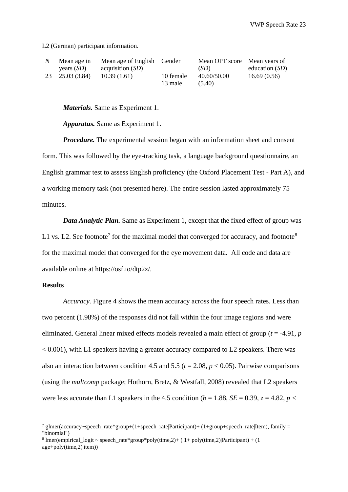L2 (German) participant information.

| Mean age in  | Mean age of English Gender |           | Mean OPT score Mean years of |                  |
|--------------|----------------------------|-----------|------------------------------|------------------|
| years $(SD)$ | acquisition (SD)           |           | (SD)                         | education $(SD)$ |
| 25.03(3.84)  | 10.39(1.61)                | 10 female | 40.60/50.00                  | 16.69(0.56)      |
|              |                            | 13 male   | (5.40)                       |                  |

*Materials.* Same as Experiment 1.

*Apparatus.* Same as Experiment 1.

*Procedure.* The experimental session began with an information sheet and consent form. This was followed by the eye-tracking task, a language background questionnaire, an English grammar test to assess English proficiency (the Oxford Placement Test - Part A), and a working memory task (not presented here). The entire session lasted approximately 75 minutes.

*Data Analytic Plan.* Same as Experiment 1, except that the fixed effect of group was L1 vs. L2. See footnote<sup>7</sup> for the maximal model that converged for accuracy, and footnote<sup>8</sup> for the maximal model that converged for the eye movement data. All code and data are available online at https://osf.io/dtp2z/.

## **Results**

*Accuracy.* Figure 4 shows the mean accuracy across the four speech rates. Less than two percent (1.98%) of the responses did not fall within the four image regions and were eliminated. General linear mixed effects models revealed a main effect of group (*t* = -4.91, *p*  $< 0.001$ ), with L1 speakers having a greater accuracy compared to L2 speakers. There was also an interaction between condition 4.5 and 5.5 ( $t = 2.08$ ,  $p < 0.05$ ). Pairwise comparisons (using the *multcomp* package; Hothorn, Bretz, & Westfall, 2008) revealed that L2 speakers were less accurate than L1 speakers in the 4.5 condition ( $b = 1.88$ ,  $SE = 0.39$ ,  $z = 4.82$ ,  $p <$ 

<sup>&</sup>lt;sup>7</sup> glmer(accuracy~speech\_rate\*group+(1+speech\_rate|Participant)+ (1+group+speech\_rate|Item), family = "binomial")

<sup>&</sup>lt;sup>8</sup> Imer(empirical\_logit ~ speech\_rate\*group\*poly(time,2)+ (1+ poly(time,2)|Participant) + (1 age+poly(time,2)|item))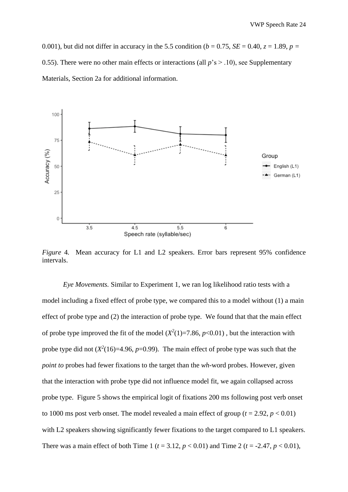0.001), but did not differ in accuracy in the 5.5 condition ( $b = 0.75$ ,  $SE = 0.40$ ,  $z = 1.89$ ,  $p = 0.001$ ) 0.55). There were no other main effects or interactions (all  $p$ 's  $>$  .10), see Supplementary Materials, Section 2a for additional information.



*Figure* 4*.* Mean accuracy for L1 and L2 speakers. Error bars represent 95% confidence intervals.

*Eye Movements.* Similar to Experiment 1, we ran log likelihood ratio tests with a model including a fixed effect of probe type, we compared this to a model without (1) a main effect of probe type and (2) the interaction of probe type. We found that that the main effect of probe type improved the fit of the model  $(X^2(1)=7.86, p<0.01)$ , but the interaction with probe type did not  $(X^2(16)=4.96, p=0.99)$ . The main effect of probe type was such that the *point to* probes had fewer fixations to the target than the *wh-*word probes. However, given that the interaction with probe type did not influence model fit, we again collapsed across probe type. Figure 5 shows the empirical logit of fixations 200 ms following post verb onset to 1000 ms post verb onset. The model revealed a main effect of group ( $t = 2.92$ ,  $p < 0.01$ ) with L2 speakers showing significantly fewer fixations to the target compared to L1 speakers. There was a main effect of both Time 1 ( $t = 3.12$ ,  $p < 0.01$ ) and Time 2 ( $t = -2.47$ ,  $p < 0.01$ ),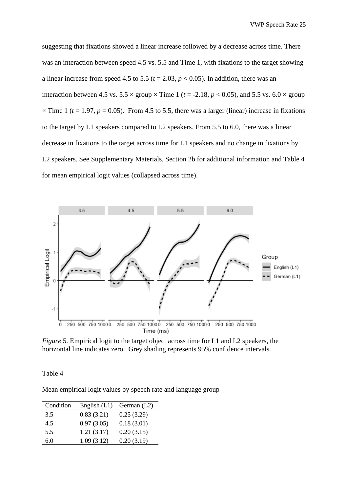suggesting that fixations showed a linear increase followed by a decrease across time. There was an interaction between speed 4.5 vs. 5.5 and Time 1, with fixations to the target showing a linear increase from speed 4.5 to 5.5 ( $t = 2.03$ ,  $p < 0.05$ ). In addition, there was an interaction between 4.5 vs.  $5.5 \times$  group  $\times$  Time 1 ( $t = -2.18$ ,  $p < 0.05$ ), and 5.5 vs.  $6.0 \times$  group  $\times$  Time 1 ( $t = 1.97$ ,  $p = 0.05$ ). From 4.5 to 5.5, there was a larger (linear) increase in fixations to the target by L1 speakers compared to L2 speakers. From 5.5 to 6.0, there was a linear decrease in fixations to the target across time for L1 speakers and no change in fixations by L2 speakers. See Supplementary Materials, Section 2b for additional information and Table 4 for mean empirical logit values (collapsed across time).



*Figure* 5*.* Empirical logit to the target object across time for L1 and L2 speakers, the horizontal line indicates zero. Grey shading represents 95% confidence intervals.

Table 4

Mean empirical logit values by speech rate and language group

| Condition | English $(L1)$ | German $(L2)$ |
|-----------|----------------|---------------|
| 3.5       | 0.83(3.21)     | 0.25(3.29)    |
| 4.5       | 0.97(3.05)     | 0.18(3.01)    |
| 5.5       | 1.21(3.17)     | 0.20(3.15)    |
| 6.0       | 1.09(3.12)     | 0.20(3.19)    |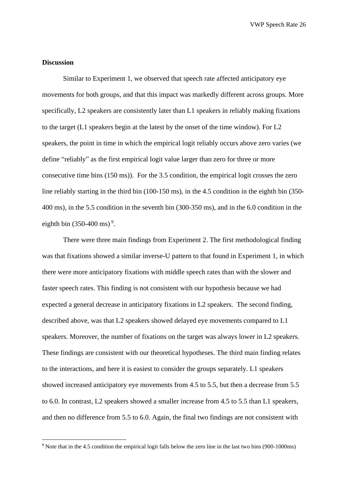## **Discussion**

Similar to Experiment 1, we observed that speech rate affected anticipatory eye movements for both groups, and that this impact was markedly different across groups. More specifically, L2 speakers are consistently later than L1 speakers in reliably making fixations to the target (L1 speakers begin at the latest by the onset of the time window). For L2 speakers, the point in time in which the empirical logit reliably occurs above zero varies (we define "reliably" as the first empirical logit value larger than zero for three or more consecutive time bins (150 ms)). For the 3.5 condition, the empirical logit crosses the zero line reliably starting in the third bin (100-150 ms), in the 4.5 condition in the eighth bin (350- 400 ms), in the 5.5 condition in the seventh bin (300-350 ms), and in the 6.0 condition in the eighth bin  $(350-400 \text{ ms})^9$ .

There were three main findings from Experiment 2. The first methodological finding was that fixations showed a similar inverse-U pattern to that found in Experiment 1, in which there were more anticipatory fixations with middle speech rates than with the slower and faster speech rates. This finding is not consistent with our hypothesis because we had expected a general decrease in anticipatory fixations in L2 speakers. The second finding, described above, was that L2 speakers showed delayed eye movements compared to L1 speakers. Moreover, the number of fixations on the target was always lower in L2 speakers. These findings are consistent with our theoretical hypotheses. The third main finding relates to the interactions, and here it is easiest to consider the groups separately. L1 speakers showed increased anticipatory eye movements from 4.5 to 5.5, but then a decrease from 5.5 to 6.0. In contrast, L2 speakers showed a smaller increase from 4.5 to 5.5 than L1 speakers, and then no difference from 5.5 to 6.0. Again, the final two findings are not consistent with

<sup>9</sup> Note that in the 4.5 condition the empirical logit falls below the zero line in the last two bins (900-1000ms)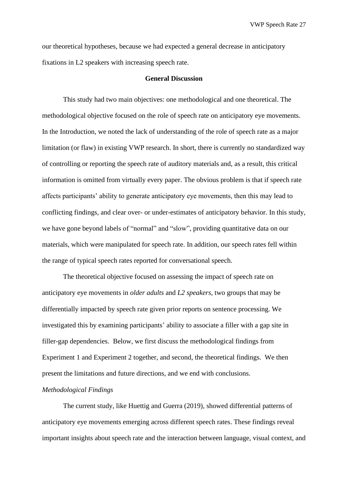our theoretical hypotheses, because we had expected a general decrease in anticipatory fixations in L2 speakers with increasing speech rate.

#### **General Discussion**

This study had two main objectives: one methodological and one theoretical. The methodological objective focused on the role of speech rate on anticipatory eye movements. In the Introduction, we noted the lack of understanding of the role of speech rate as a major limitation (or flaw) in existing VWP research. In short, there is currently no standardized way of controlling or reporting the speech rate of auditory materials and, as a result, this critical information is omitted from virtually every paper. The obvious problem is that if speech rate affects participants' ability to generate anticipatory eye movements, then this may lead to conflicting findings, and clear over- or under-estimates of anticipatory behavior. In this study, we have gone beyond labels of "normal" and "slow", providing quantitative data on our materials, which were manipulated for speech rate. In addition, our speech rates fell within the range of typical speech rates reported for conversational speech.

The theoretical objective focused on assessing the impact of speech rate on anticipatory eye movements in *older adults* and *L2 speakers*, two groups that may be differentially impacted by speech rate given prior reports on sentence processing. We investigated this by examining participants' ability to associate a filler with a gap site in filler-gap dependencies. Below, we first discuss the methodological findings from Experiment 1 and Experiment 2 together, and second, the theoretical findings. We then present the limitations and future directions, and we end with conclusions.

### *Methodological Findings*

The current study, like Huettig and Guerra (2019), showed differential patterns of anticipatory eye movements emerging across different speech rates. These findings reveal important insights about speech rate and the interaction between language, visual context, and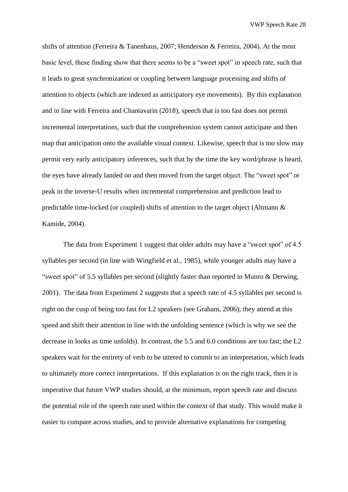shifts of attention (Ferreira & Tanenhaus, 2007; Henderson & Ferreira, 2004). At the most basic level, these finding show that there seems to be a "sweet spot" in speech rate, such that it leads to great synchronization or coupling between language processing and shifts of attention to objects (which are indexed as anticipatory eye movements). By this explanation and in line with Ferreira and Chantavarin (2018), speech that is too fast does not permit incremental interpretations, such that the comprehension system cannot anticipate and then map that anticipation onto the available visual context. Likewise, speech that is too slow may permit very early anticipatory inferences, such that by the time the key word/phrase is heard, the eyes have already landed on and then moved from the target object. The "sweet spot" or peak in the inverse-U results when incremental comprehension and prediction lead to predictable time-locked (or coupled) shifts of attention to the target object (Altmann & Kamide, 2004).

The data from Experiment 1 suggest that older adults may have a "sweet spot" of 4.5 syllables per second (in line with Wingfield et al., 1985), while younger adults may have a "sweet spot" of 5.5 syllables per second (slightly faster than reported in Munro & Derwing, 2001). The data from Experiment 2 suggests that a speech rate of 4.5 syllables per second is right on the cusp of being too fast for L2 speakers (see Graham, 2006); they attend at this speed and shift their attention in line with the unfolding sentence (which is why we see the decrease in looks as time unfolds). In contrast, the 5.5 and 6.0 conditions are too fast; the L2 speakers wait for the entirety of verb to be uttered to commit to an interpretation, which leads to ultimately more correct interpretations. If this explanation is on the right track, then it is imperative that future VWP studies should, at the minimum, report speech rate and discuss the potential role of the speech rate used within the context of that study. This would make it easier to compare across studies, and to provide alternative explanations for competing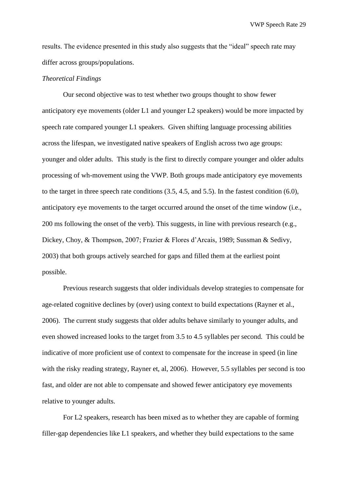results. The evidence presented in this study also suggests that the "ideal" speech rate may differ across groups/populations.

## *Theoretical Findings*

Our second objective was to test whether two groups thought to show fewer anticipatory eye movements (older L1 and younger L2 speakers) would be more impacted by speech rate compared younger L1 speakers. Given shifting language processing abilities across the lifespan, we investigated native speakers of English across two age groups: younger and older adults. This study is the first to directly compare younger and older adults processing of wh-movement using the VWP. Both groups made anticipatory eye movements to the target in three speech rate conditions (3.5, 4.5, and 5.5). In the fastest condition (6.0), anticipatory eye movements to the target occurred around the onset of the time window (i.e., 200 ms following the onset of the verb). This suggests, in line with previous research (e.g., Dickey, Choy, & Thompson, 2007; Frazier & Flores d'Arcais, 1989; Sussman & Sedivy, 2003) that both groups actively searched for gaps and filled them at the earliest point possible.

Previous research suggests that older individuals develop strategies to compensate for age-related cognitive declines by (over) using context to build expectations (Rayner et al., 2006). The current study suggests that older adults behave similarly to younger adults, and even showed increased looks to the target from 3.5 to 4.5 syllables per second. This could be indicative of more proficient use of context to compensate for the increase in speed (in line with the risky reading strategy, Rayner et, al, 2006). However, 5.5 syllables per second is too fast, and older are not able to compensate and showed fewer anticipatory eye movements relative to younger adults.

For L2 speakers, research has been mixed as to whether they are capable of forming filler-gap dependencies like L1 speakers, and whether they build expectations to the same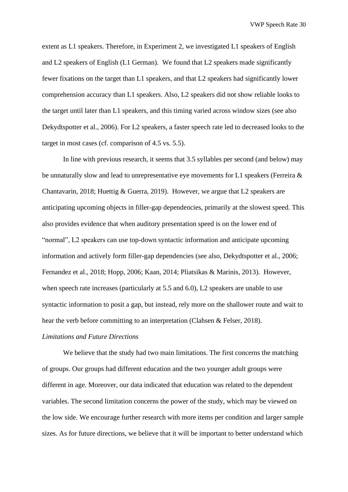extent as L1 speakers. Therefore, in Experiment 2, we investigated L1 speakers of English and L2 speakers of English (L1 German). We found that L2 speakers made significantly fewer fixations on the target than L1 speakers, and that L2 speakers had significantly lower comprehension accuracy than L1 speakers. Also, L2 speakers did not show reliable looks to the target until later than L1 speakers, and this timing varied across window sizes (see also Dekydtspotter et al., 2006). For L2 speakers, a faster speech rate led to decreased looks to the target in most cases (cf. comparison of 4.5 vs. 5.5).

In line with previous research, it seems that 3.5 syllables per second (and below) may be unnaturally slow and lead to unrepresentative eye movements for L1 speakers (Ferreira & Chantavarin, 2018; Huettig & Guerra, 2019). However, we argue that L2 speakers are anticipating upcoming objects in filler-gap dependencies, primarily at the slowest speed. This also provides evidence that when auditory presentation speed is on the lower end of "normal", L2 speakers can use top-down syntactic information and anticipate upcoming information and actively form filler-gap dependencies (see also, Dekydtspotter et al., 2006; Fernandez et al., 2018; Hopp, 2006; Kaan, 2014; Pliatsikas & Marinis, 2013). However, when speech rate increases (particularly at 5.5 and 6.0), L2 speakers are unable to use syntactic information to posit a gap, but instead, rely more on the shallower route and wait to hear the verb before committing to an interpretation (Clahsen & Felser, 2018).

## *Limitations and Future Directions*

We believe that the study had two main limitations. The first concerns the matching of groups. Our groups had different education and the two younger adult groups were different in age. Moreover, our data indicated that education was related to the dependent variables. The second limitation concerns the power of the study, which may be viewed on the low side. We encourage further research with more items per condition and larger sample sizes. As for future directions, we believe that it will be important to better understand which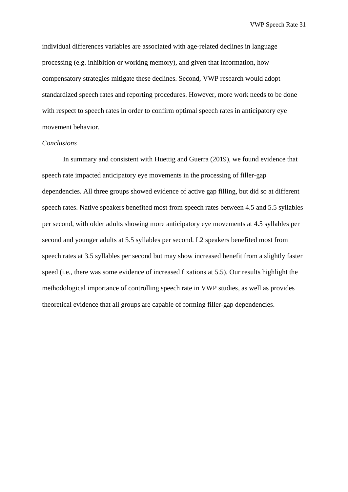individual differences variables are associated with age-related declines in language processing (e.g. inhibition or working memory), and given that information, how compensatory strategies mitigate these declines. Second, VWP research would adopt standardized speech rates and reporting procedures. However, more work needs to be done with respect to speech rates in order to confirm optimal speech rates in anticipatory eye movement behavior.

#### *Conclusions*

In summary and consistent with Huettig and Guerra (2019), we found evidence that speech rate impacted anticipatory eye movements in the processing of filler-gap dependencies. All three groups showed evidence of active gap filling, but did so at different speech rates. Native speakers benefited most from speech rates between 4.5 and 5.5 syllables per second, with older adults showing more anticipatory eye movements at 4.5 syllables per second and younger adults at 5.5 syllables per second. L2 speakers benefited most from speech rates at 3.5 syllables per second but may show increased benefit from a slightly faster speed (i.e., there was some evidence of increased fixations at 5.5). Our results highlight the methodological importance of controlling speech rate in VWP studies, as well as provides theoretical evidence that all groups are capable of forming filler-gap dependencies.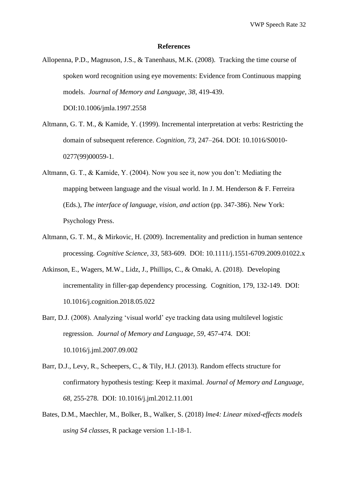#### **References**

- Allopenna, P.D., Magnuson, J.S., & Tanenhaus, M.K. (2008). Tracking the time course of spoken word recognition using eye movements: Evidence from Continuous mapping models. *Journal of Memory and Language, 38*, 419-439. DOI:10.1006/jmla.1997.2558
- Altmann, G. T. M., & Kamide, Y. (1999). Incremental interpretation at verbs: Restricting the domain of subsequent reference. *Cognition*, *73*, 247–264. DOI: 10.1016/S0010- 0277(99)00059-1.
- Altmann, G. T., & Kamide, Y. (2004). Now you see it, now you don't: Mediating the mapping between language and the visual world. In J. M. Henderson & F. Ferreira (Eds.), *The interface of language, vision, and action* (pp. 347-386). New York: Psychology Press.
- Altmann, G. T. M., & Mirkovic, H. (2009). Incrementality and prediction in human sentence processing. *Cognitive Science, 33,* 583-609. DOI: 10.1111/j.1551-6709.2009.01022.x
- Atkinson, E., Wagers, M.W., Lidz, J., Phillips, C., & Omaki, A. (2018). Developing incrementality in filler-gap dependency processing. Cognition, 179, 132-149. DOI: [10.1016/j.cognition.2018.05.022](https://doi.org/10.1016/j.cognition.2018.05.022)
- Barr, D.J. (2008). Analyzing 'visual world' eye tracking data using multilevel logistic regression. *Journal of Memory and Language, 59*, 457-474. DOI: 10.1016/j.jml.2007.09.002
- Barr, D.J., Levy, R., Scheepers, C., & Tily, H.J. (2013). Random effects structure for confirmatory hypothesis testing: Keep it maximal. *Journal of Memory and Language, 68,* 255-278. DOI: 10.1016/j.jml.2012.11.001
- Bates, D.M., Maechler, M., Bolker, B., Walker, S. (2018) *lme4: Linear mixed-effects models using S4 classes*, R package version 1.1-18-1.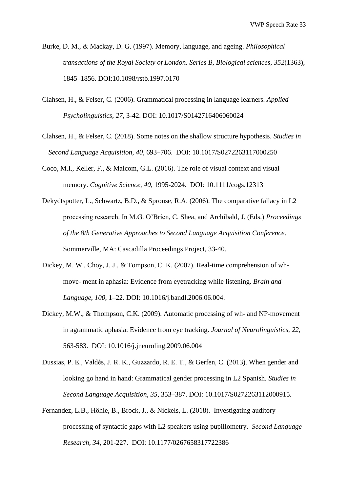- Burke, D. M., & Mackay, D. G. (1997). Memory, language, and ageing. *Philosophical transactions of the Royal Society of London. Series B, Biological sciences*, *352*(1363), 1845–1856. DOI:10.1098/rstb.1997.0170
- Clahsen, H., & Felser, C. (2006). Grammatical processing in language learners. *Applied Psycholinguistics, 27*, 3-42. DOI: 10.1017/S0142716406060024
- Clahsen, H., & Felser, C. (2018). Some notes on the shallow structure hypothesis. *Studies in Second Language Acquisition, 40*, 693–706. DOI: 10.1017/S0272263117000250
- Coco, M.I., Keller, F., & Malcom, G.L. (2016). The role of visual context and visual memory. *Cognitive Science, 40*, 1995-2024. DOI: 10.1111/cogs.12313
- Dekydtspotter, L., Schwartz, B.D., & Sprouse, R.A. (2006). The comparative fallacy in L2 processing research. In M.G. O'Brien, C. Shea, and Archibald, J. (Eds.) *Proceedings of the 8th Generative Approaches to Second Language Acquisition Conference*. Sommerville, MA: Cascadilla Proceedings Project, 33-40.
- Dickey, M. W., Choy, J. J., & Tompson, C. K. (2007). Real-time comprehension of whmove- ment in aphasia: Evidence from eyetracking while listening. *Brain and Language*, *100*, 1–22. DOI: 10.1016/j.bandl.2006.06.004.
- Dickey, M.W., & Thompson, C.K. (2009). Automatic processing of wh- and NP-movement in agrammatic aphasia: Evidence from eye tracking. *Journal of Neurolinguistics, 22*, 563-583. DOI: 10[.1016/j.jneuroling.2009.06.004](https://doi.org/10.1016/j.jneuroling.2009.06.004)
- Dussias, P. E., Valdés, J. R. K., Guzzardo, R. E. T., & Gerfen, C. (2013). When gender and looking go hand in hand: Grammatical gender processing in L2 Spanish. *Studies in Second Language Acquisition*, *35*, 353–387. DOI: 10.1017/S0272263112000915.
- Fernandez, L.B., Höhle, B., Brock, J., & Nickels, L. (2018). Investigating auditory processing of syntactic gaps with L2 speakers using pupillometry. *Second Language Research, 34*, 201-227. DOI: 10.1177/0267658317722386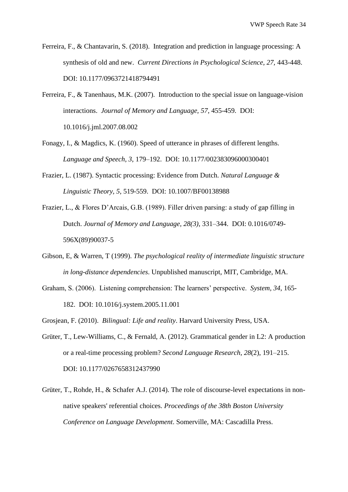- Ferreira, F., & Chantavarin, S. (2018). Integration and prediction in language processing: A synthesis of old and new. *Current Directions in Psychological Science, 27,* 443-448. DOI: 10.1177/0963721418794491
- Ferreira, F., & Tanenhaus, M.K. (2007). Introduction to the special issue on language-vision interactions. *Journal of Memory and Language, 57*, 455-459. DOI: 10.1016/j.jml.2007.08.002
- Fonagy, I., & Magdics, K. (1960). Speed of utterance in phrases of different lengths. *Language and Speech, 3*, 179–192. DOI: 10.1177/002383096000300401
- Frazier, L. (1987). Syntactic processing: Evidence from Dutch. *Natural Language & Linguistic Theory, 5,* 519-559. DOI: 10.1007/BF00138988
- Frazier, L., & Flores D'Arcais, G.B. (1989). Filler driven parsing: a study of gap filling in Dutch. *Journal of Memory and Language, 28(3)*, 331–344. DOI: 0.1016/0749- 596X(89)90037-5
- Gibson, E, & Warren, T (1999). *The psychological reality of intermediate linguistic structure in long-distance dependencies*. Unpublished manuscript, MIT, Cambridge, MA.
- Graham, S. (2006). Listening comprehension: The learners' perspective. *System, 34*, 165- 182. DOI: 10.1016/j.system.2005.11.001
- Grosjean, F. (2010). *Bilingual: Life and reality*. Harvard University Press, USA.
- Grüter, T., Lew-Williams, C., & Fernald, A. (2012). Grammatical gender in L2: A production or a real-time processing problem? *[Second Language Research](http://slr.sagepub.com/content/28/2/191.abstract)*, *28*(2), 191–215. DOI: 10.1177/0267658312437990
- Grüter, T., Rohde, H., & Schafer A.J. (2014). The role of discourse-level expectations in nonnative speakers' referential choices. *Proceedings of the 38th Boston University Conference on Language Development*. Somerville, MA: Cascadilla Press.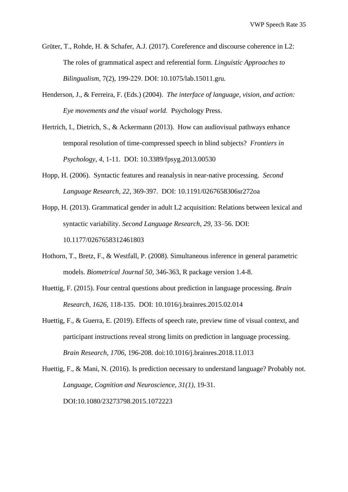- Grüter, T., Rohde, H. & Schafer, A.J. (2017). Coreference and discourse coherence in L2: The roles of grammatical aspect and referential form. *Linguistic Approaches to Bilingualism*, 7(2), 199-229. DOI:[10.1075/lab.15011.gru](http://www.jbe-platform.com/content/journals/10.1075/lab.15011.gru)*.*
- Henderson, J., & Ferreira, F. (Eds.) (2004). *The interface of language, vision, and action: Eye movements and the visual world.* Psychology Press.
- Hertrich, I., Dietrich, S., & Ackermann (2013). How can audiovisual pathways enhance temporal resolution of time-compressed speech in blind subjects? *Frontiers in Psychology, 4*, 1-11. DOI: 10.3389/fpsyg.2013.00530
- Hopp, H. (2006). Syntactic features and reanalysis in near-native processing. *Second Language Research, 22*, 369-397. DOI: 10.1191/0267658306sr272oa
- Hopp, H. (2013). Grammatical gender in adult L2 acquisition: Relations between lexical and syntactic variability. *Second Language Research*, *29*, 33–56. DOI: 10.1177/0267658312461803
- Hothorn, T., Bretz, F., & Westfall, P. (2008). Simultaneous inference in general parametric models. *Biometrical Journal 50*, 346-363, R package version 1.4-8.
- Huettig, F. (2015). Four central questions about prediction in language processing. *Brain Research, 1626,* 118-135. DOI: 10.1016/j.brainres.2015.02.014
- Huettig, F., & Guerra, E. (2019). Effects of speech rate, preview time of visual context, and participant instructions reveal strong limits on prediction in language processing. *Brain Research, 1706*, 196-208. doi:10.1016/j.brainres.2018.11.013

Huettig, F., & Mani, N. (2016). Is prediction necessary to understand language? Probably not. *Language, Cognition and Neuroscience, 31(1),* 19-31. DOI:10.1080/23273798.2015.1072223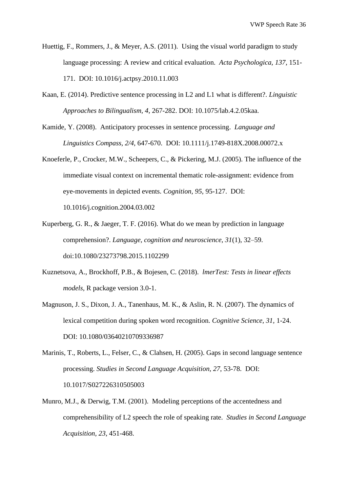- Huettig, F., Rommers, J., & Meyer, A.S. (2011). Using the visual world paradigm to study language processing: A review and critical evaluation. *Acta Psychologica, 137*, 151- 171. DOI: 10.1016/j.actpsy.2010.11.003
- Kaan, E. (2014). Predictive sentence processing in L2 and L1 what is different?. *Linguistic Approaches to Bilingualism, 4*, 267-282. DOI: 10.1075/lab.4.2.05kaa.
- Kamide, Y. (2008). Anticipatory processes in sentence processing. *Language and Linguistics Compass, 2/4*, 647-670. DOI: 10.1111/j.1749-818X.2008.00072.x
- Knoeferle, P., Crocker, M.W., Scheepers, C., & Pickering, M.J. (2005). The influence of the immediate visual context on incremental thematic role-assignment: evidence from eye-movements in depicted events. *Cognition, 95,* 95-127. DOI: 10.1016/j.cognition.2004.03.002
- Kuperberg, G. R., & Jaeger, T. F. (2016). What do we mean by prediction in language comprehension?. *Language, cognition and neuroscience, 31*(1), 32–59. doi:10.1080/23273798.2015.1102299
- Kuznetsova, A., Brockhoff, P.B., & Bojesen, C. (2018). *lmerTest: Tests in linear effects models,* R package version 3.0-1.
- Magnuson, J. S., Dixon, J. A., Tanenhaus, M. K., & Aslin, R. N. (2007). The dynamics of lexical competition during spoken word recognition. *Cognitive Science, 31,* 1-24. DOI: 10.1080/03640210709336987
- Marinis, T., Roberts, L., Felser, C., & Clahsen, H. (2005). Gaps in second language sentence processing. *Studies in Second Language Acquisition, 27*, 53-78. DOI: 10.1017/S027226310505003
- Munro, M.J., & Derwig, T.M. (2001). Modeling perceptions of the accentedness and comprehensibility of L2 speech the role of speaking rate. *Studies in Second Language Acquisition, 23*, 451-468.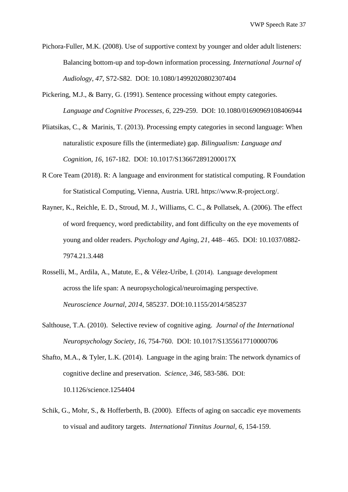- Pichora-Fuller, M.K. (2008). Use of supportive context by younger and older adult listeners: Balancing bottom-up and top-down information processing. *International Journal of Audiology, 47*, S72-S82. DOI: 10.1080/14992020802307404
- Pickering, M.J., & Barry, G. (1991). Sentence processing without empty categories. *Language and Cognitive Processes, 6,* 229-259. DOI: 10.1080/01690969108406944
- Pliatsikas, C., & Marinis, T. (2013). Processing empty categories in second language: When naturalistic exposure fills the (intermediate) gap. *Bilingualism: Language and Cognition, 16*, 167-182. DOI: 10.1017/S136672891200017X
- R Core Team (2018). R: A language and environment for statistical computing. R Foundation for Statistical Computing, Vienna, Austria. URL [https://www.R-project.org/.](https://www.r-project.org/)
- Rayner, K., Reichle, E. D., Stroud, M. J., Williams, C. C., & Pollatsek, A. (2006). The effect of word frequency, word predictability, and font difficulty on the eye movements of young and older readers. *Psychology and Aging*, *21*, 448– 465. DOI: 10.1037/0882- 7974.21.3.448
- Rosselli, M., Ardila, A., Matute, E., & Vélez-Uribe, I. (2014). Language development across the life span: A neuropsychological/neuroimaging perspective. *Neuroscience Journal, 2014*, 585237. DOI:10.1155/2014/585237
- Salthouse, T.A. (2010). Selective review of cognitive aging. *Journal of the International Neuropsychology Society, 16*, 754-760. DOI: 10.1017/S1355617710000706
- Shafto, M.A., & Tyler, L.K. (2014). Language in the aging brain: The network dynamics of cognitive decline and preservation. *Science, 346*, 583-586. DOI: 10.1126/science.1254404
- Schik, G., Mohr, S., & Hofferberth, B. (2000). Effects of aging on saccadic eye movements to visual and auditory targets. *International Tinnitus Journal, 6*, 154-159.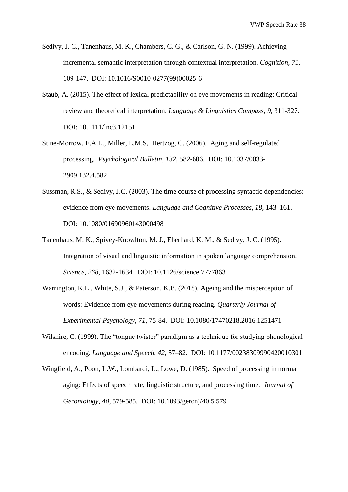- Sedivy, J. C., Tanenhaus, M. K., Chambers, C. G., & Carlson, G. N. (1999). Achieving incremental semantic interpretation through contextual interpretation. *Cognition, 71,* 109-147. DOI: 10.1016/S0010-0277(99)00025-6
- Staub, A. (2015). The effect of lexical predictability on eye movements in reading: Critical review and theoretical interpretation. *Language & Linguistics Compass*, *9*, 311-327. DOI: 10.1111/lnc3.12151
- Stine-Morrow, E.A.L., Miller, L.M.S, Hertzog, C. (2006). Aging and self-regulated processing. *Psychological Bulletin, 132*, 582-606. DOI: 10.1037/0033- 2909.132.4.582
- Sussman, R.S., & Sedivy, J.C. (2003). The time course of processing syntactic dependencies: evidence from eye movements. *Language and Cognitive Processes, 18,* 143–161. DOI: 10.1080/01690960143000498
- Tanenhaus, M. K., Spivey-Knowlton, M. J., Eberhard, K. M., & Sedivy, J. C. (1995). Integration of visual and linguistic information in spoken language comprehension. *Science, 268,* 1632-1634. DOI: 10.1126/science.7777863
- Warrington, K.L., White, S.J., & Paterson, K.B. (2018). Ageing and the misperception of words: Evidence from eye movements during reading. *Quarterly Journal of Experimental Psychology, 71*, 75-84. DOI: 10.1080/17470218.2016.1251471
- Wilshire, C. (1999). The "tongue twister" paradigm as a technique for studying phonological encoding. *Language and Speech, 42,* 57–82. DOI: 10.1177/00238309990420010301
- Wingfield, A., Poon, L.W., Lombardi, L., Lowe, D. (1985). Speed of processing in normal aging: Effects of speech rate, linguistic structure, and processing time. *Journal of Gerontology, 40*, 579-585. DOI: 10.1093/geronj/40.5.579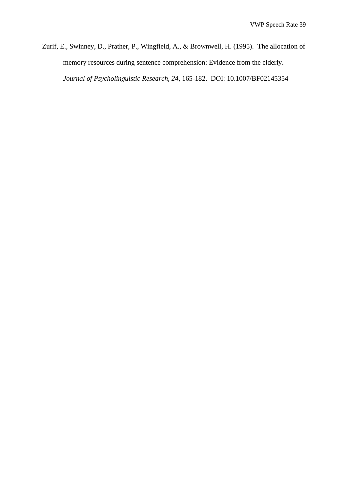Zurif, E., Swinney, D., Prather, P., Wingfield, A., & Brownwell, H. (1995). The allocation of memory resources during sentence comprehension: Evidence from the elderly. *Journal of Psycholinguistic Research, 24*, 165-182. DOI: 10.1007/BF02145354